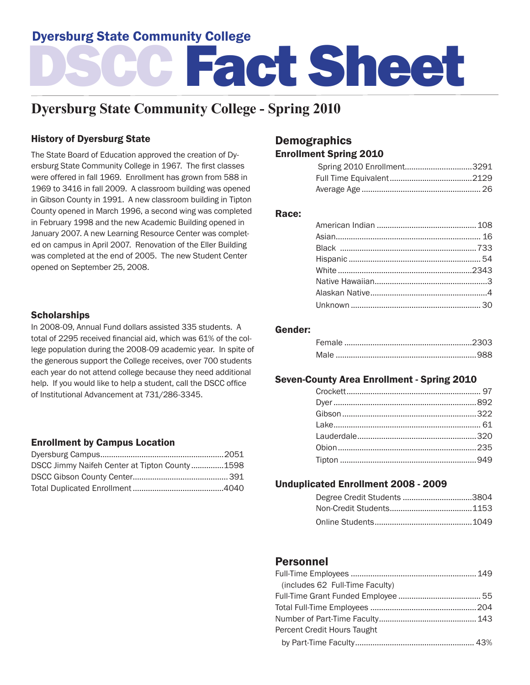## Dyersburg State Community College

# DSCC Fact Sheet

## **Dyersburg State Community College - Spring 2010**

## History of Dyersburg State

The State Board of Education approved the creation of Dyersburg State Community College in 1967. The first classes were offered in fall 1969. Enrollment has grown from 588 in 1969 to 3416 in fall 2009. A classroom building was opened in Gibson County in 1991. A new classroom building in Tipton County opened in March 1996, a second wing was completed in February 1998 and the new Academic Building opened in January 2007. A new Learning Resource Center was completed on campus in April 2007. Renovation of the Eller Building was completed at the end of 2005. The new Student Center opened on September 25, 2008.

#### **Scholarships**

In 2008-09, Annual Fund dollars assisted 335 students. A total of 2295 received financial aid, which was 61% of the college population during the 2008-09 academic year. In spite of the generous support the College receives, over 700 students each year do not attend college because they need additional help. If you would like to help a student, call the DSCC office of Institutional Advancement at 731/286-3345.

## Enrollment by Campus Location

| DSCC Jimmy Naifeh Center at Tipton County1598 |  |
|-----------------------------------------------|--|
|                                               |  |
|                                               |  |

## **Demographics** Enrollment Spring 2010

| Spring 2010 Enrollment3291 |  |
|----------------------------|--|
|                            |  |
|                            |  |

#### Race:

#### Gender:

## Seven-County Area Enrollment - Spring 2010

## Unduplicated Enrollment 2008 - 2009

| Degree Credit Students 3804 |  |
|-----------------------------|--|
|                             |  |
|                             |  |

## Personnel

| (includes 62 Full-Time Faculty) |  |
|---------------------------------|--|
|                                 |  |
|                                 |  |
|                                 |  |
| Percent Credit Hours Taught     |  |
|                                 |  |